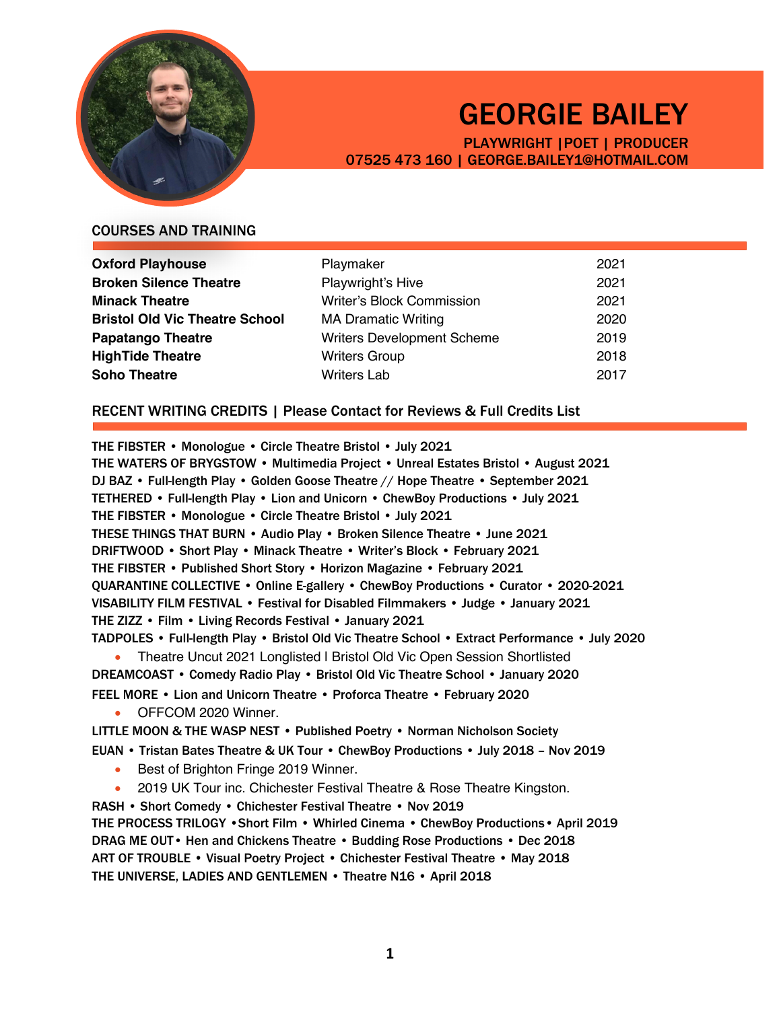

# GEORGIE BAILEY

PLAYWRIGHT |POET | PRODUCER 07525 473 160 | GEORGE.BAILEY1@HOTMAIL.COM

# COURSES AND TRAINING

| <b>Oxford Playhouse</b>               | Playmaker                         | 2021 |
|---------------------------------------|-----------------------------------|------|
| <b>Broken Silence Theatre</b>         | Playwright's Hive                 | 2021 |
| <b>Minack Theatre</b>                 | <b>Writer's Block Commission</b>  | 2021 |
| <b>Bristol Old Vic Theatre School</b> | <b>MA Dramatic Writing</b>        | 2020 |
| <b>Papatango Theatre</b>              | <b>Writers Development Scheme</b> | 2019 |
| <b>HighTide Theatre</b>               | <b>Writers Group</b>              | 2018 |
| <b>Soho Theatre</b>                   | <b>Writers Lab</b>                | 2017 |

# RECENT WRITING CREDITS | Please Contact for Reviews & Full Credits List

THE FIBSTER • Monologue • Circle Theatre Bristol • July 2021

THE WATERS OF BRYGSTOW • Multimedia Project • Unreal Estates Bristol • August 2021 DJ BAZ • Full-length Play • Golden Goose Theatre // Hope Theatre • September 2021 TETHERED • Full-length Play • Lion and Unicorn • ChewBoy Productions • July 2021 THE FIBSTER • Monologue • Circle Theatre Bristol • July 2021 THESE THINGS THAT BURN • Audio Play • Broken Silence Theatre • June 2021 DRIFTWOOD • Short Play • Minack Theatre • Writer's Block • February 2021 THE FIBSTER • Published Short Story • Horizon Magazine • February 2021 QUARANTINE COLLECTIVE • Online E-gallery • ChewBoy Productions • Curator • 2020-2021 VISABILITY FILM FESTIVAL • Festival for Disabled Filmmakers • Judge • January 2021 THE ZIZZ • Film • Living Records Festival • January 2021 TADPOLES • Full-length Play • Bristol Old Vic Theatre School • Extract Performance • July 2020 • Theatre Uncut 2021 Longlisted | Bristol Old Vic Open Session Shortlisted DREAMCOAST • Comedy Radio Play • Bristol Old Vic Theatre School • January 2020

FEEL MORE • Lion and Unicorn Theatre • Proforca Theatre • February 2020 • OFFCOM 2020 Winner.

LITTLE MOON & THE WASP NEST • Published Poetry • Norman Nicholson Society

EUAN • Tristan Bates Theatre & UK Tour • ChewBoy Productions • July 2018 – Nov 2019

- Best of Brighton Fringe 2019 Winner.
- 2019 UK Tour inc. Chichester Festival Theatre & Rose Theatre Kingston.

RASH • Short Comedy • Chichester Festival Theatre • Nov 2019

THE PROCESS TRILOGY *•*Short Film • Whirled Cinema *•* ChewBoy Productions*•* April 2019 DRAG ME OUT*•* Hen and Chickens Theatre *•* Budding Rose Productions *•* Dec 2018 ART OF TROUBLE • Visual Poetry Project • Chichester Festival Theatre • May 2018 THE UNIVERSE, LADIES AND GENTLEMEN • Theatre N16 • April 2018